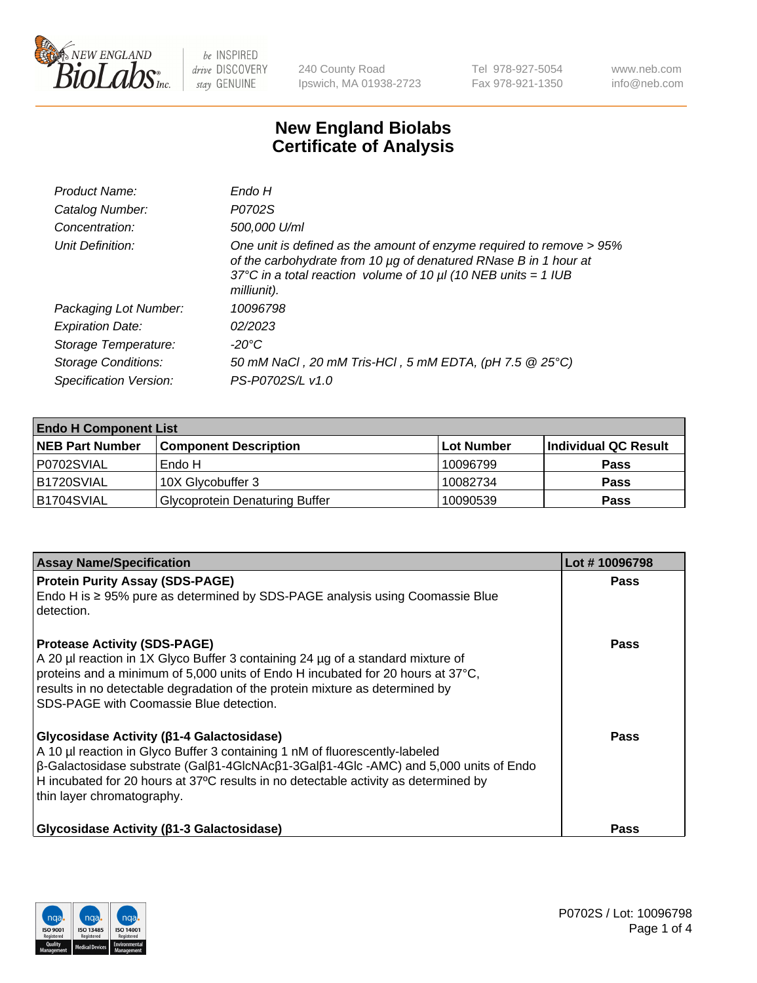

240 County Road Ipswich, MA 01938-2723 Tel 978-927-5054 Fax 978-921-1350 www.neb.com info@neb.com

## **New England Biolabs Certificate of Analysis**

| Product Name:              | Endo H                                                                                                                                                                                                                         |
|----------------------------|--------------------------------------------------------------------------------------------------------------------------------------------------------------------------------------------------------------------------------|
| Catalog Number:            | P0702S                                                                                                                                                                                                                         |
| Concentration:             | 500,000 U/ml                                                                                                                                                                                                                   |
| Unit Definition:           | One unit is defined as the amount of enzyme required to remove > 95%<br>of the carbohydrate from 10 µg of denatured RNase B in 1 hour at<br>37°C in a total reaction volume of 10 $\mu$ I (10 NEB units = 1 IUB<br>milliunit). |
| Packaging Lot Number:      | 10096798                                                                                                                                                                                                                       |
| <b>Expiration Date:</b>    | 02/2023                                                                                                                                                                                                                        |
| Storage Temperature:       | -20°C                                                                                                                                                                                                                          |
| <b>Storage Conditions:</b> | 50 mM NaCl, 20 mM Tris-HCl, 5 mM EDTA, (pH 7.5 @ 25°C)                                                                                                                                                                         |
| Specification Version:     | PS-P0702S/L v1.0                                                                                                                                                                                                               |

| <b>Endo H Component List</b> |                                       |            |                      |  |
|------------------------------|---------------------------------------|------------|----------------------|--|
| <b>NEB Part Number</b>       | <b>Component Description</b>          | Lot Number | Individual QC Result |  |
| P0702SVIAL                   | Endo H                                | 10096799   | <b>Pass</b>          |  |
| B1720SVIAL                   | 10X Glycobuffer 3                     | 10082734   | <b>Pass</b>          |  |
| B1704SVIAL                   | <b>Glycoprotein Denaturing Buffer</b> | 10090539   | <b>Pass</b>          |  |

| <b>Assay Name/Specification</b>                                                                                                                                                                                                                                                                                                                                             | Lot #10096798 |
|-----------------------------------------------------------------------------------------------------------------------------------------------------------------------------------------------------------------------------------------------------------------------------------------------------------------------------------------------------------------------------|---------------|
| <b>Protein Purity Assay (SDS-PAGE)</b><br>Endo H is ≥ 95% pure as determined by SDS-PAGE analysis using Coomassie Blue<br>detection.                                                                                                                                                                                                                                        | <b>Pass</b>   |
| <b>Protease Activity (SDS-PAGE)</b><br>A 20 µl reaction in 1X Glyco Buffer 3 containing 24 µg of a standard mixture of<br>proteins and a minimum of 5,000 units of Endo H incubated for 20 hours at 37 $^{\circ}$ C,<br>results in no detectable degradation of the protein mixture as determined by<br>SDS-PAGE with Coomassie Blue detection.                             | Pass          |
| <b>Glycosidase Activity (β1-4 Galactosidase)</b><br>A 10 µl reaction in Glyco Buffer 3 containing 1 nM of fluorescently-labeled<br>$\beta$ -Galactosidase substrate (Gal $\beta$ 1-4GlcNAc $\beta$ 1-3Gal $\beta$ 1-4Glc -AMC) and 5,000 units of Endo<br>H incubated for 20 hours at 37°C results in no detectable activity as determined by<br>thin layer chromatography. | Pass          |
| <b>Glycosidase Activity (β1-3 Galactosidase)</b>                                                                                                                                                                                                                                                                                                                            | Pass          |

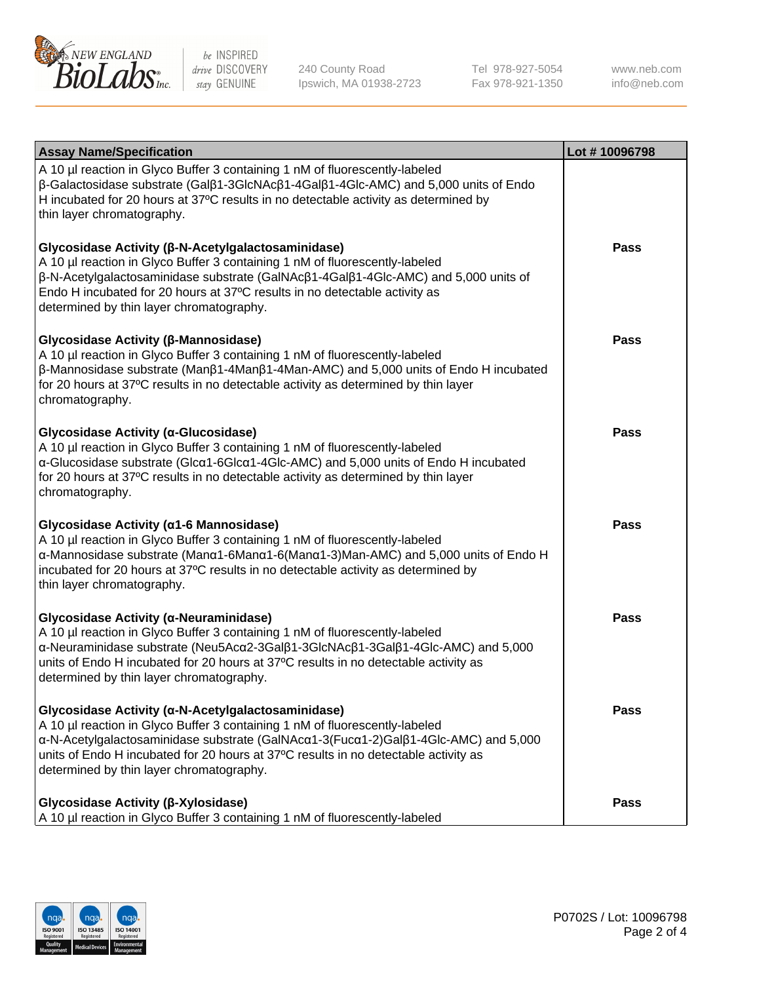

240 County Road Ipswich, MA 01938-2723 Tel 978-927-5054 Fax 978-921-1350 www.neb.com info@neb.com

| <b>Assay Name/Specification</b>                                                                                                                                                                                                                                                                                                                             | Lot #10096798 |
|-------------------------------------------------------------------------------------------------------------------------------------------------------------------------------------------------------------------------------------------------------------------------------------------------------------------------------------------------------------|---------------|
| A 10 µl reaction in Glyco Buffer 3 containing 1 nM of fluorescently-labeled<br>$\beta$ -Galactosidase substrate (Gal $\beta$ 1-3GlcNAc $\beta$ 1-4Gal $\beta$ 1-4Glc-AMC) and 5,000 units of Endo<br>H incubated for 20 hours at 37°C results in no detectable activity as determined by<br>thin layer chromatography.                                      |               |
| Glycosidase Activity (β-N-Acetylgalactosaminidase)<br>A 10 µl reaction in Glyco Buffer 3 containing 1 nM of fluorescently-labeled<br>β-N-Acetylgalactosaminidase substrate (GalNAcβ1-4Galβ1-4Glc-AMC) and 5,000 units of<br>Endo H incubated for 20 hours at 37°C results in no detectable activity as<br>determined by thin layer chromatography.          | <b>Pass</b>   |
| Glycosidase Activity (β-Mannosidase)<br>A 10 µl reaction in Glyco Buffer 3 containing 1 nM of fluorescently-labeled<br>$\beta$ -Mannosidase substrate (Man $\beta$ 1-4Man $\beta$ 1-4Man-AMC) and 5,000 units of Endo H incubated<br>for 20 hours at 37°C results in no detectable activity as determined by thin layer<br>chromatography.                  | <b>Pass</b>   |
| Glycosidase Activity (α-Glucosidase)<br>A 10 µl reaction in Glyco Buffer 3 containing 1 nM of fluorescently-labeled<br>α-Glucosidase substrate (Glcα1-6Glcα1-4Glc-AMC) and 5,000 units of Endo H incubated<br>for 20 hours at 37°C results in no detectable activity as determined by thin layer<br>chromatography.                                         | <b>Pass</b>   |
| Glycosidase Activity (α1-6 Mannosidase)<br>A 10 µl reaction in Glyco Buffer 3 containing 1 nM of fluorescently-labeled<br>α-Mannosidase substrate (Μanα1-6Μanα1-6(Μanα1-3)Man-AMC) and 5,000 units of Endo H<br>incubated for 20 hours at 37°C results in no detectable activity as determined by<br>thin layer chromatography.                             | <b>Pass</b>   |
| Glycosidase Activity (α-Neuraminidase)<br>A 10 µl reaction in Glyco Buffer 3 containing 1 nM of fluorescently-labeled<br>α-Neuraminidase substrate (Neu5Acα2-3Galβ1-3GlcNAcβ1-3Galβ1-4Glc-AMC) and 5,000<br>units of Endo H incubated for 20 hours at 37°C results in no detectable activity as<br>determined by thin layer chromatography.                 | Pass          |
| Glycosidase Activity (α-N-Acetylgalactosaminidase)<br>A 10 µl reaction in Glyco Buffer 3 containing 1 nM of fluorescently-labeled<br>α-N-Acetylgalactosaminidase substrate (GalNAcα1-3(Fucα1-2)Galβ1-4Glc-AMC) and 5,000<br>units of Endo H incubated for 20 hours at 37°C results in no detectable activity as<br>determined by thin layer chromatography. | <b>Pass</b>   |
| Glycosidase Activity (β-Xylosidase)<br>A 10 µl reaction in Glyco Buffer 3 containing 1 nM of fluorescently-labeled                                                                                                                                                                                                                                          | <b>Pass</b>   |

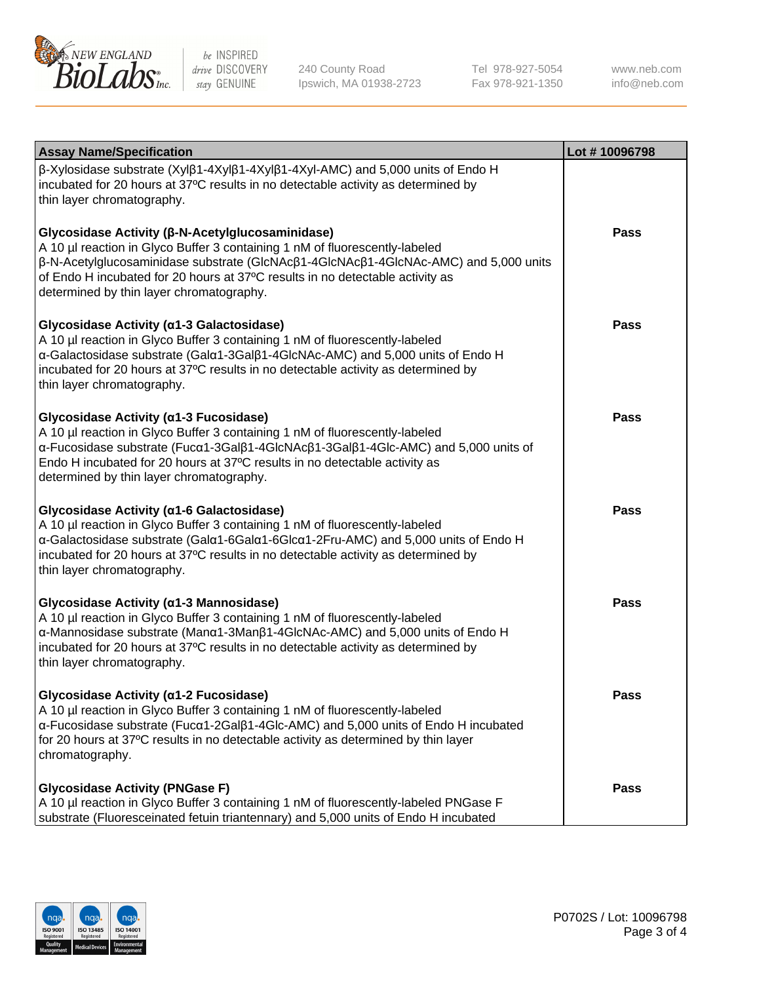

240 County Road Ipswich, MA 01938-2723 Tel 978-927-5054 Fax 978-921-1350 www.neb.com info@neb.com

| <b>Assay Name/Specification</b>                                                                                                                                                                                                                                                                                                                      | Lot #10096798 |
|------------------------------------------------------------------------------------------------------------------------------------------------------------------------------------------------------------------------------------------------------------------------------------------------------------------------------------------------------|---------------|
| $\beta$ -Xylosidase substrate (Xyl $\beta$ 1-4Xyl $\beta$ 1-4Xyl $\beta$ 1-4Xyl-AMC) and 5,000 units of Endo H<br>incubated for 20 hours at 37°C results in no detectable activity as determined by<br>thin layer chromatography.                                                                                                                    |               |
| Glycosidase Activity (β-N-Acetylglucosaminidase)<br>A 10 µl reaction in Glyco Buffer 3 containing 1 nM of fluorescently-labeled<br>β-N-Acetylglucosaminidase substrate (GlcNAcβ1-4GlcNAcβ1-4GlcNAc-AMC) and 5,000 units<br>of Endo H incubated for 20 hours at 37°C results in no detectable activity as<br>determined by thin layer chromatography. | Pass          |
| Glycosidase Activity (α1-3 Galactosidase)<br>A 10 µl reaction in Glyco Buffer 3 containing 1 nM of fluorescently-labeled<br>α-Galactosidase substrate (Galα1-3Galβ1-4GlcNAc-AMC) and 5,000 units of Endo H<br>incubated for 20 hours at 37°C results in no detectable activity as determined by<br>thin layer chromatography.                        | <b>Pass</b>   |
| Glycosidase Activity (α1-3 Fucosidase)<br>A 10 µl reaction in Glyco Buffer 3 containing 1 nM of fluorescently-labeled<br>α-Fucosidase substrate (Fucα1-3Galβ1-4GlcNAcβ1-3Galβ1-4Glc-AMC) and 5,000 units of<br>Endo H incubated for 20 hours at 37°C results in no detectable activity as<br>determined by thin layer chromatography.                | Pass          |
| Glycosidase Activity (a1-6 Galactosidase)<br>A 10 µl reaction in Glyco Buffer 3 containing 1 nM of fluorescently-labeled<br>α-Galactosidase substrate (Galα1-6Galα1-6Glcα1-2Fru-AMC) and 5,000 units of Endo H<br>incubated for 20 hours at 37°C results in no detectable activity as determined by<br>thin layer chromatography.                    | Pass          |
| Glycosidase Activity (α1-3 Mannosidase)<br>A 10 µl reaction in Glyco Buffer 3 containing 1 nM of fluorescently-labeled<br>α-Mannosidase substrate (Manα1-3Manβ1-4GlcNAc-AMC) and 5,000 units of Endo H<br>incubated for 20 hours at 37°C results in no detectable activity as determined by<br>thin layer chromatography.                            | <b>Pass</b>   |
| Glycosidase Activity (α1-2 Fucosidase)<br>A 10 µl reaction in Glyco Buffer 3 containing 1 nM of fluorescently-labeled<br>$\alpha$ -Fucosidase substrate (Fuc $\alpha$ 1-2Gal $\beta$ 1-4Glc-AMC) and 5,000 units of Endo H incubated<br>for 20 hours at 37°C results in no detectable activity as determined by thin layer<br>chromatography.        | Pass          |
| <b>Glycosidase Activity (PNGase F)</b><br>A 10 µl reaction in Glyco Buffer 3 containing 1 nM of fluorescently-labeled PNGase F<br>substrate (Fluoresceinated fetuin triantennary) and 5,000 units of Endo H incubated                                                                                                                                | Pass          |